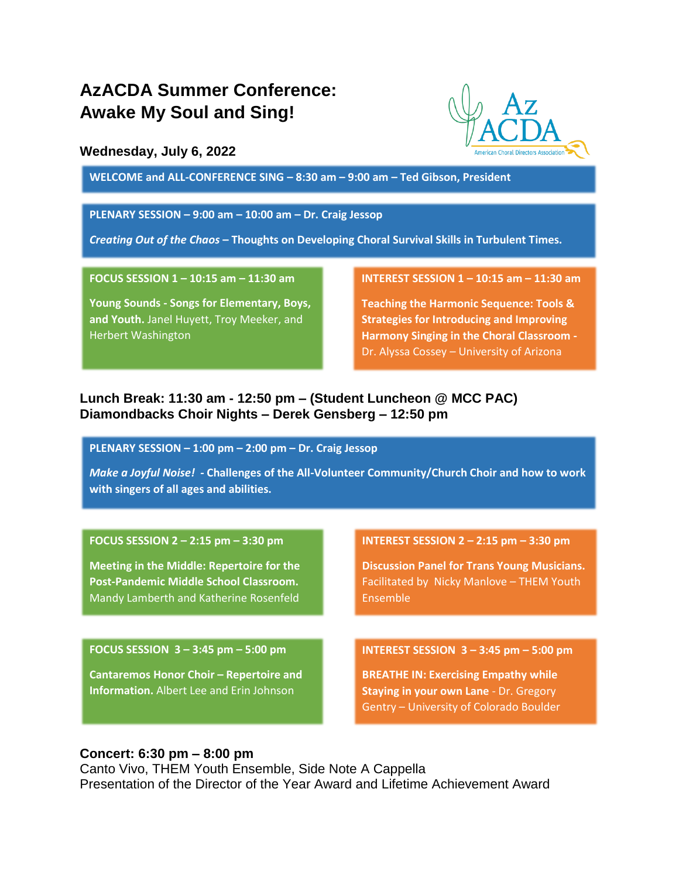# **AzACDA Summer Conference: Awake My Soul and Sing!**

# **Wednesday, July 6, 2022**

**WELCOME and ALL-CONFERENCE SING – 8:30 am – 9:00 am – Ted Gibson, President**

## **PLENARY SESSION – 9:00 am – 10:00 am – Dr. Craig Jessop**

*Creating Out of the Chaos* **– Thoughts on Developing Choral Survival Skills in Turbulent Times.**

**FOCUS SESSION 1 – 10:15 am – 11:30 am**

**Young Sounds - Songs for Elementary, Boys, and Youth.** Janel Huyett, Troy Meeker, and Herbert Washington

#### **INTEREST SESSION 1 – 10:15 am – 11:30 am**

**Teaching the Harmonic Sequence: Tools & Strategies for Introducing and Improving Harmony Singing in the Choral Classroom -** Dr. Alyssa Cossey – University of Arizona

# **Lunch Break: 11:30 am - 12:50 pm – (Student Luncheon @ MCC PAC) Diamondbacks Choir Nights – Derek Gensberg – 12:50 pm**

**PLENARY SESSION – 1:00 pm – 2:00 pm – Dr. Craig Jessop**

*Make a Joyful Noise! -* **Challenges of the All-Volunteer Community/Church Choir and how to work with singers of all ages and abilities.**

## **FOCUS SESSION 2 – 2:15 pm – 3:30 pm**

**Meeting in the Middle: Repertoire for the Post-Pandemic Middle School Classroom.**  Mandy Lamberth and Katherine Rosenfeld

#### **FOCUS SESSION 3 – 3:45 pm – 5:00 pm**

**Cantaremos Honor Choir – Repertoire and Information.** Albert Lee and Erin Johnson

**INTEREST SESSION 2 – 2:15 pm – 3:30 pm**

**Discussion Panel for Trans Young Musicians.**  Facilitated by Nicky Manlove – THEM Youth Ensemble

**INTEREST SESSION 3 – 3:45 pm – 5:00 pm**

**BREATHE IN: Exercising Empathy while Staying in your own Lane** - Dr. Gregory Gentry – University of Colorado Boulder

# **Concert: 6:30 pm – 8:00 pm**

Canto Vivo, THEM Youth Ensemble, Side Note A Cappella Presentation of the Director of the Year Award and Lifetime Achievement Award

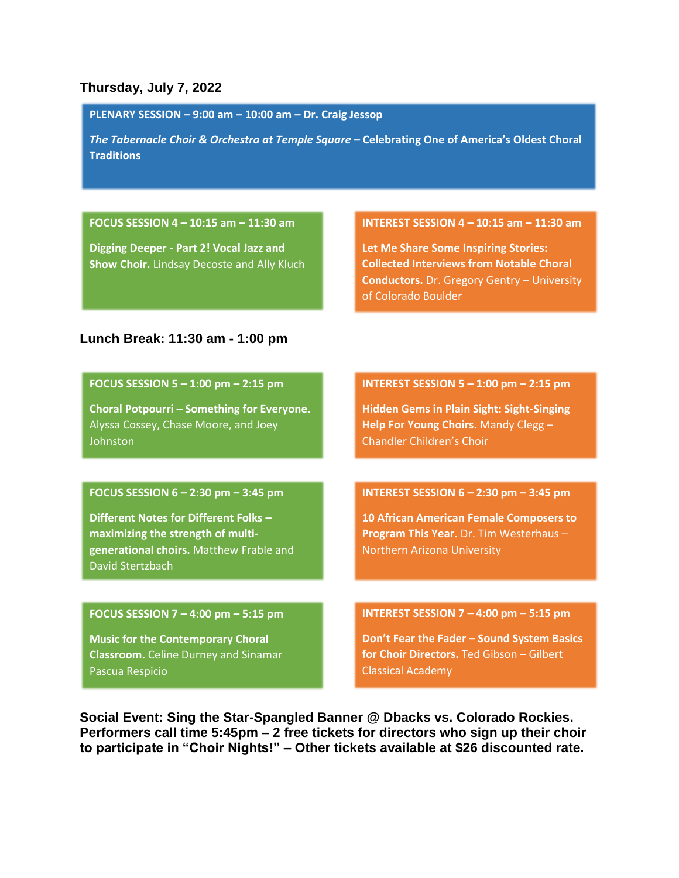# **Thursday, July 7, 2022**

**PLENARY SESSION – 9:00 am – 10:00 am – Dr. Craig Jessop**

*The Tabernacle Choir & Orchestra at Temple Square –* **Celebrating One of America's Oldest Choral Traditions**

# **FOCUS SESSION 4 – 10:15 am – 11:30 am**

**Digging Deeper - Part 2! Vocal Jazz and Show Choir.** Lindsay Decoste and Ally Kluch

#### **INTEREST SESSION 4 – 10:15 am – 11:30 am**

**Let Me Share Some Inspiring Stories: Collected Interviews from Notable Choral Conductors.** Dr. Gregory Gentry – University of Colorado Boulder

# **Lunch Break: 11:30 am - 1:00 pm**

**FOCUS SESSION 5 – 1:00 pm – 2:15 pm**

**Choral Potpourri – Something for Everyone.**  Alyssa Cossey, Chase Moore, and Joey Johnston

## **FOCUS SESSION 6 – 2:30 pm – 3:45 pm**

**Different Notes for Different Folks – maximizing the strength of multigenerational choirs.** Matthew Frable and David Stertzbach

#### **FOCUS SESSION 7 – 4:00 pm – 5:15 pm**

**Music for the Contemporary Choral Classroom.** Celine Durney and Sinamar Pascua Respicio

**INTEREST SESSION 5 – 1:00 pm – 2:15 pm**

**Hidden Gems in Plain Sight: Sight-Singing Help For Young Choirs.** Mandy Clegg – Chandler Children's Choir

# **INTEREST SESSION 6 – 2:30 pm – 3:45 pm**

**10 African American Female Composers to Program This Year.** Dr. Tim Westerhaus – Northern Arizona University

#### **INTEREST SESSION 7 – 4:00 pm – 5:15 pm**

**Don't Fear the Fader – Sound System Basics for Choir Directors.** Ted Gibson – Gilbert Classical Academy

**Social Event: Sing the Star-Spangled Banner @ Dbacks vs. Colorado Rockies. Performers call time 5:45pm – 2 free tickets for directors who sign up their choir to participate in "Choir Nights!" – Other tickets available at \$26 discounted rate.**